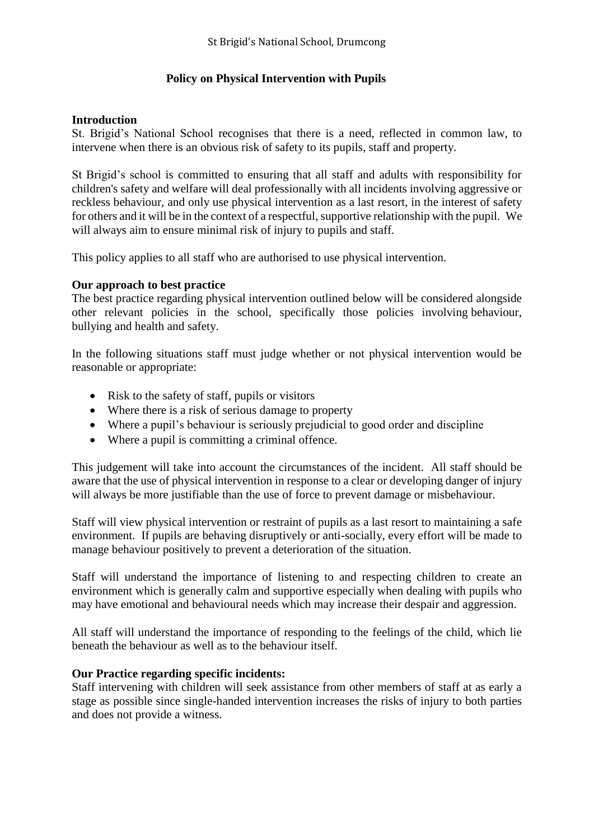# **Policy on Physical Intervention with Pupils**

#### **Introduction**

St. Brigid's National School recognises that there is a need, reflected in common law, to intervene when there is an obvious risk of safety to its pupils, staff and property.

St Brigid's school is committed to ensuring that all staff and adults with responsibility for children's safety and welfare will deal professionally with all incidents involving aggressive or reckless behaviour, and only use physical intervention as a last resort, in the interest of safety for others and it will be in the context of a respectful, supportive relationship with the pupil. We will always aim to ensure minimal risk of injury to pupils and staff.

This policy applies to all staff who are authorised to use physical intervention.

## **Our approach to best practice**

The best practice regarding physical intervention outlined below will be considered alongside other relevant policies in the school, specifically those policies involving behaviour, bullying and health and safety.

In the following situations staff must judge whether or not physical intervention would be reasonable or appropriate:

- $\bullet$  Risk to the safety of staff, pupils or visitors
- Where there is a risk of serious damage to property
- Where a pupil's behaviour is seriously prejudicial to good order and discipline
- Where a pupil is committing a criminal offence.

This judgement will take into account the circumstances of the incident. All staff should be aware that the use of physical intervention in response to a clear or developing danger of injury will always be more justifiable than the use of force to prevent damage or misbehaviour.

Staff will view physical intervention or restraint of pupils as a last resort to maintaining a safe environment. If pupils are behaving disruptively or anti-socially, every effort will be made to manage behaviour positively to prevent a deterioration of the situation.

Staff will understand the importance of listening to and respecting children to create an environment which is generally calm and supportive especially when dealing with pupils who may have emotional and behavioural needs which may increase their despair and aggression.

All staff will understand the importance of responding to the feelings of the child, which lie beneath the behaviour as well as to the behaviour itself.

## **Our Practice regarding specific incidents:**

Staff intervening with children will seek assistance from other members of staff at as early a stage as possible since single-handed intervention increases the risks of injury to both parties and does not provide a witness.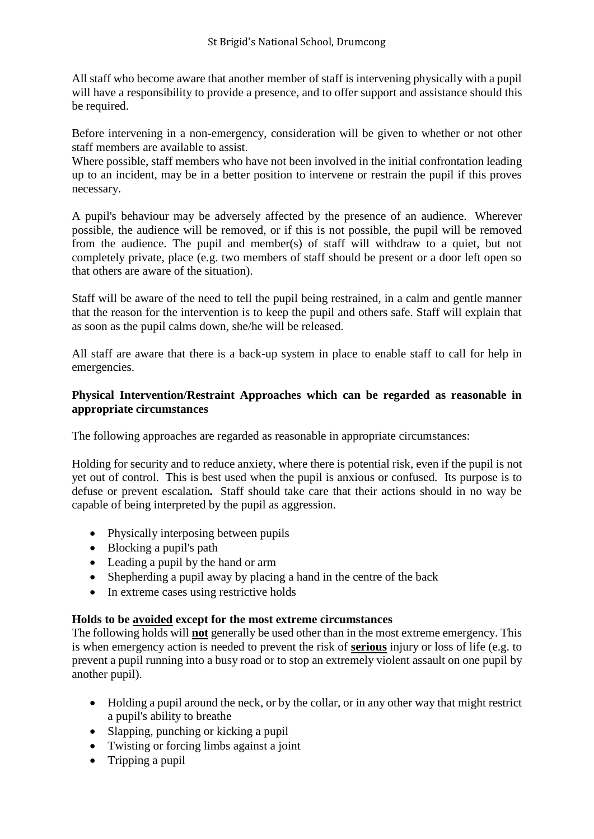All staff who become aware that another member of staff is intervening physically with a pupil will have a responsibility to provide a presence, and to offer support and assistance should this be required.

Before intervening in a non-emergency, consideration will be given to whether or not other staff members are available to assist.

Where possible, staff members who have not been involved in the initial confrontation leading up to an incident, may be in a better position to intervene or restrain the pupil if this proves necessary.

A pupil's behaviour may be adversely affected by the presence of an audience. Wherever possible, the audience will be removed, or if this is not possible, the pupil will be removed from the audience. The pupil and member(s) of staff will withdraw to a quiet, but not completely private, place (e.g. two members of staff should be present or a door left open so that others are aware of the situation).

Staff will be aware of the need to tell the pupil being restrained, in a calm and gentle manner that the reason for the intervention is to keep the pupil and others safe. Staff will explain that as soon as the pupil calms down, she/he will be released.

All staff are aware that there is a back-up system in place to enable staff to call for help in emergencies.

# **Physical Intervention/Restraint Approaches which can be regarded as reasonable in appropriate circumstances**

The following approaches are regarded as reasonable in appropriate circumstances:

Holding for security and to reduce anxiety, where there is potential risk, even if the pupil is not yet out of control. This is best used when the pupil is anxious or confused. Its purpose is to defuse or prevent escalation*.* Staff should take care that their actions should in no way be capable of being interpreted by the pupil as aggression.

- Physically interposing between pupils
- Blocking a pupil's path
- Leading a pupil by the hand or arm
- Shepherding a pupil away by placing a hand in the centre of the back
- In extreme cases using restrictive holds

## **Holds to be avoided except for the most extreme circumstances**

The following holds will **not** generally be used other than in the most extreme emergency. This is when emergency action is needed to prevent the risk of **serious** injury or loss of life (e.g. to prevent a pupil running into a busy road or to stop an extremely violent assault on one pupil by another pupil).

- Holding a pupil around the neck, or by the collar, or in any other way that might restrict a pupil's ability to breathe
- Slapping, punching or kicking a pupil
- Twisting or forcing limbs against a joint
- $\bullet$  Tripping a pupil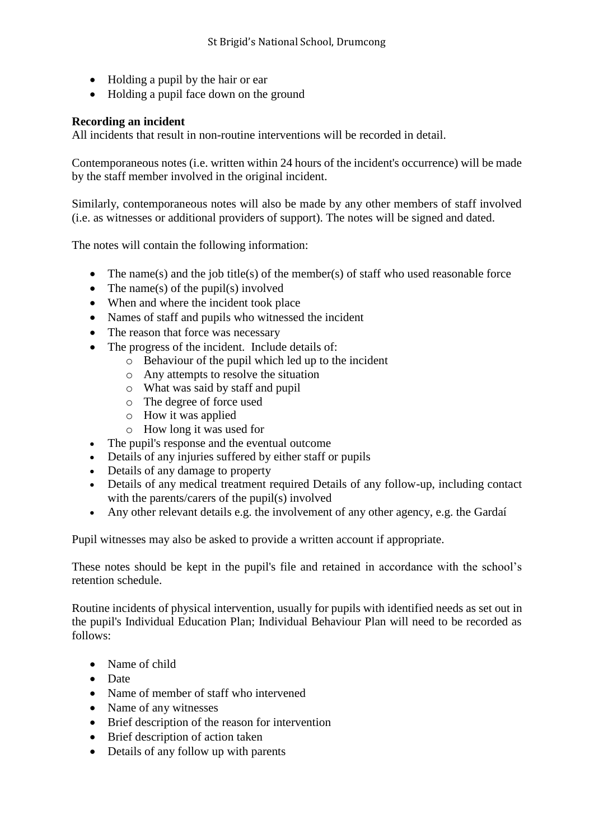- Holding a pupil by the hair or ear
- Holding a pupil face down on the ground

## **Recording an incident**

All incidents that result in non-routine interventions will be recorded in detail.

Contemporaneous notes (i.e. written within 24 hours of the incident's occurrence) will be made by the staff member involved in the original incident.

Similarly, contemporaneous notes will also be made by any other members of staff involved (i.e. as witnesses or additional providers of support). The notes will be signed and dated.

The notes will contain the following information:

- The name(s) and the job title(s) of the member(s) of staff who used reasonable force
- The name(s) of the pupil(s) involved
- When and where the incident took place
- Names of staff and pupils who witnessed the incident
- The reason that force was necessary
- The progress of the incident. Include details of:
	- o Behaviour of the pupil which led up to the incident
	- o Any attempts to resolve the situation
	- o What was said by staff and pupil
	- o The degree of force used
	- o How it was applied
	- o How long it was used for
- The pupil's response and the eventual outcome
- Details of any injuries suffered by either staff or pupils
- Details of any damage to property
- Details of any medical treatment required Details of any follow-up, including contact with the parents/carers of the pupil(s) involved
- Any other relevant details e.g. the involvement of any other agency, e.g. the Gardaí

Pupil witnesses may also be asked to provide a written account if appropriate.

These notes should be kept in the pupil's file and retained in accordance with the school's retention schedule.

Routine incidents of physical intervention, usually for pupils with identified needs as set out in the pupil's Individual Education Plan; Individual Behaviour Plan will need to be recorded as follows:

- Name of child
- Date
- Name of member of staff who intervened
- Name of any witnesses
- Brief description of the reason for intervention
- Brief description of action taken
- Details of any follow up with parents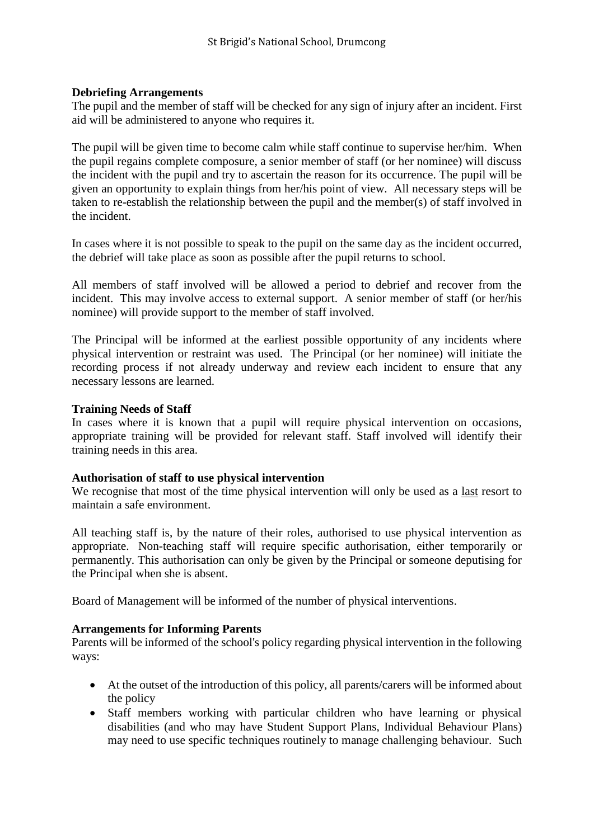#### **Debriefing Arrangements**

The pupil and the member of staff will be checked for any sign of injury after an incident. First aid will be administered to anyone who requires it.

The pupil will be given time to become calm while staff continue to supervise her/him. When the pupil regains complete composure, a senior member of staff (or her nominee) will discuss the incident with the pupil and try to ascertain the reason for its occurrence. The pupil will be given an opportunity to explain things from her/his point of view. All necessary steps will be taken to re-establish the relationship between the pupil and the member(s) of staff involved in the incident.

In cases where it is not possible to speak to the pupil on the same day as the incident occurred, the debrief will take place as soon as possible after the pupil returns to school.

All members of staff involved will be allowed a period to debrief and recover from the incident. This may involve access to external support. A senior member of staff (or her/his nominee) will provide support to the member of staff involved.

The Principal will be informed at the earliest possible opportunity of any incidents where physical intervention or restraint was used. The Principal (or her nominee) will initiate the recording process if not already underway and review each incident to ensure that any necessary lessons are learned.

#### **Training Needs of Staff**

In cases where it is known that a pupil will require physical intervention on occasions, appropriate training will be provided for relevant staff. Staff involved will identify their training needs in this area.

#### **Authorisation of staff to use physical intervention**

We recognise that most of the time physical intervention will only be used as a last resort to maintain a safe environment.

All teaching staff is, by the nature of their roles, authorised to use physical intervention as appropriate. Non-teaching staff will require specific authorisation, either temporarily or permanently. This authorisation can only be given by the Principal or someone deputising for the Principal when she is absent.

Board of Management will be informed of the number of physical interventions.

#### **Arrangements for Informing Parents**

Parents will be informed of the school's policy regarding physical intervention in the following ways:

- At the outset of the introduction of this policy, all parents/carers will be informed about the policy
- Staff members working with particular children who have learning or physical disabilities (and who may have Student Support Plans, Individual Behaviour Plans) may need to use specific techniques routinely to manage challenging behaviour. Such